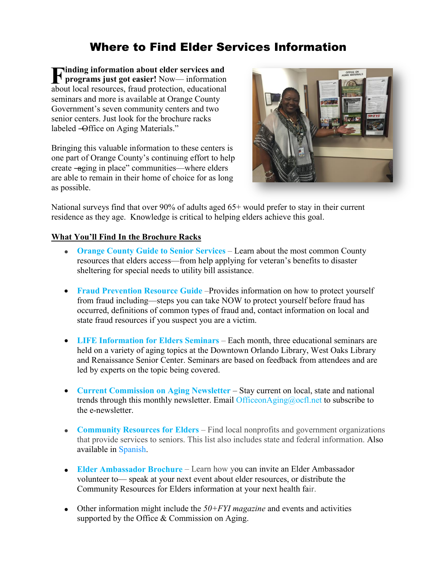# Where to Find Elder Services Information

**Finding information about elder services and<br>
<b>F** programs just got easier! Now—information<br>
about local resources froud protection educations **programs just got easier!** Now— information about local resources, fraud protection, educational seminars and more is available at Orange County Government's seven community centers and two senior centers. Just look for the brochure racks labeled –Office on Aging Materials."  $\blacksquare$  inding information about elder services and properties in properties and properties and properties are properties. **P** programs just got easier! Now— information about 1

Bringing this valuable information to these centers is Bringing this valuable information to these centers is one part of Orange County's continuing effort to help create -aging in place" communities—where elders are able to remain in their home of choice for as long as possible. possible.



National surveys find that over 90% of adults aged 65+ would prefer to stay in their current residence as they age. Knowledge is critical to helping elders achieve this goal.

# **What You'll Find In the Brochure Racks**

- **[Orange County Guide to Senior Services](http://www.orangecountyfl.net/Portals/0/resource%20library/families%20-%20health%20-%20social%20svcs/OC%20Guide%20to%20Senior%20Services.pdf)** Learn about the most common County resources that elders access—from help applying for veteran's benefits to disaster sheltering for special needs to utility bill assistance.
- **[Fraud Prevention Resource Guide](http://www.orangecountyfl.net/Portals/0/resource%20library/families%20-%20health%20-%20social%20svcs/Fraud%20Guide%20HI%20RES.pdf)** Provides information on how to protect yourself from fraud including—steps you can take NOW to protect yourself before fraud has occurred, definitions of common types of fraud and, contact information on local and state fraud resources if you suspect you are a victim.
- **[LIFE Information for Elders Seminars](http://www.orangecountyfl.net/Portals/0/Library/Families-Health-Social%20Svcs/docs/LIFE%20Information%20for%20Elders_Fall%202015.pdf)** Each month, three educational seminars are held on a variety of aging topics at the Downtown Orlando Library, West Oaks Library and Renaissance Senior Center. Seminars are based on feedback from attendees and are led by experts on the topic being covered.
- **[Current Commission on Aging Newsletter](http://www.orangecountyfl.net/Portals/0/resource%20library/families%20-%20health%20-%20social%20svcs/commission%20on%20aging%20newsletters/08-2015%20Commission%20on%20Aging%20-%20E-newsletter.pdf)** Stay current on local, state and national trends through this monthly newsletter. Email [OfficeonAging@ocfl.net](mailto:OfficeonAging@ocfl.net) to subscribe to the e-newsletter.
- **[Community Resources for Elders](http://www.orangecountyfl.net/Portals/0/Library/Families-Health-Social%20Svcs/docs/Community%20Resources%20for%20Elder.pdf)** Find local nonprofits and government organizations that provide services to seniors. This list also includes state and federal information. Also available in [Spanish.](http://www.orangecountyfl.net/Portals/0/Library/Families-Health-Social%20Svcs/docs/Community%20Resources%20for%20Elders_Spanish_10-14.pdf)
- **[Elder Ambassador Brochure](http://www.orangecountyfl.net/Portals/0/Library/Families-Health-Social%20Svcs/docs/Elder%20Ambassador%20Brochure.pdf)** Learn how you can invite an Elder Ambassador volunteer to— speak at your next event about elder resources, or distribute the Community Resources for Elders information at your next health fair.
- Other information might include the *50+FYI magazine* and events and activities supported by the Office & Commission on Aging.